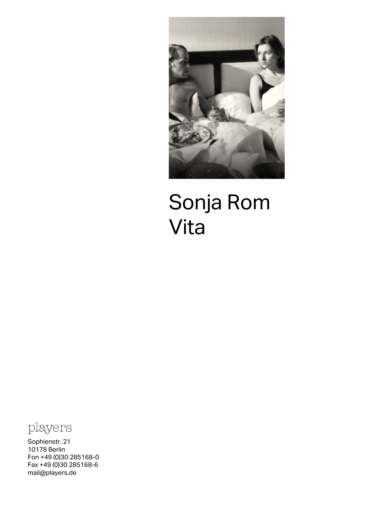

## Sonja Rom Vita



Sophienstr. 21 10178 Berlin Fon +49 (0)30 285168-0 Fax +49 (0)30 285168-6 [mail@players.de](mailto:mail@players.de)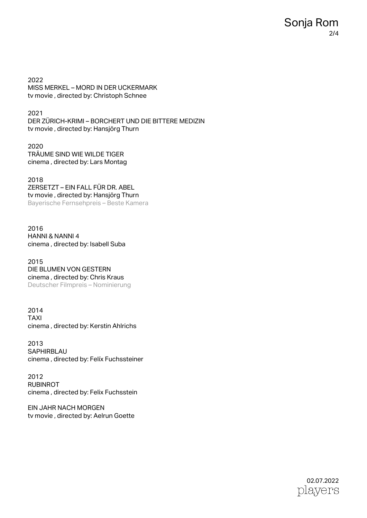2022 MISS MERKEL – MORD IN DER UCKERMARK tv movie , directed by: Christoph Schnee

2021 DER ZÜRICH-KRIMI – BORCHERT UND DIE BITTERE MEDIZIN tv movie , directed by: Hansjörg Thurn

2020 TRÄUME SIND WIE WILDE TIGER cinema , directed by: Lars Montag

2018 ZERSETZT – EIN FALL FÜR DR. ABEL tv movie , directed by: Hansjörg Thurn Bayerische Fernsehpreis – Beste Kamera

2016 HANNI & NANNI 4 cinema , directed by: Isabell Suba

2015 DIE BLUMEN VON GESTERN cinema , directed by: Chris Kraus Deutscher Filmpreis – Nominierung

2014 TAXI cinema , directed by: Kerstin Ahlrichs

2013 **SAPHIRBLAU** cinema , directed by: Felíx Fuchssteiner

2012 RUBINROT cinema , directed by: Felix Fuchsstein

EIN JAHR NACH MORGEN tv movie , directed by: Aelrun Goette

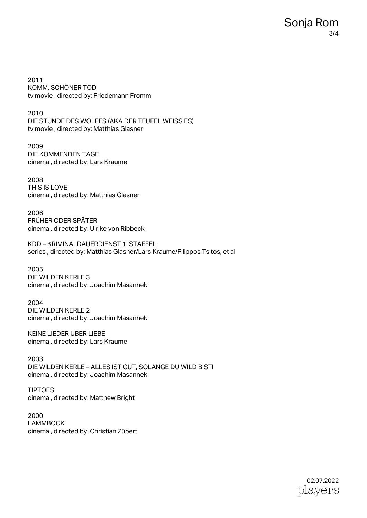2011 KOMM, SCHÖNER TOD tv movie , directed by: Friedemann Fromm

2010 DIE STUNDE DES WOLFES (AKA DER TEUFEL WEISS ES) tv movie , directed by: Matthias Glasner

2009 DIE KOMMENDEN TAGE cinema , directed by: Lars Kraume

2008 THIS IS LOVE cinema , directed by: Matthias Glasner

2006 FRÜHER ODER SPÄTER cinema , directed by: Ulrike von Ribbeck

KDD – KRIMINALDAUERDIENST 1. STAFFEL series , directed by: Matthias Glasner/Lars Kraume/Filippos Tsitos, et al

2005 DIE WILDEN KERLE 3 cinema , directed by: Joachim Masannek

2004 DIE WILDEN KERLE 2 cinema , directed by: Joachim Masannek

KEINE LIEDER ÜBER LIEBE cinema , directed by: Lars Kraume

2003 DIE WILDEN KERLE – ALLES IST GUT, SOLANGE DU WILD BIST! cinema , directed by: Joachim Masannek

TIPTOES cinema , directed by: Matthew Bright

2000 LAMMBOCK cinema , directed by: Christian Zübert